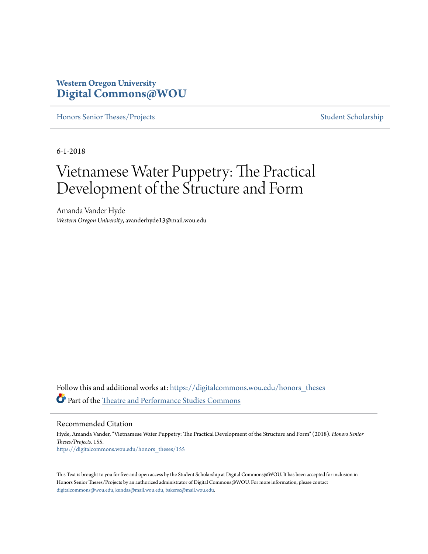## **Western Oregon University [Digital Commons@WOU](https://digitalcommons.wou.edu?utm_source=digitalcommons.wou.edu%2Fhonors_theses%2F155&utm_medium=PDF&utm_campaign=PDFCoverPages)**

[Honors Senior Theses/Projects](https://digitalcommons.wou.edu/honors_theses?utm_source=digitalcommons.wou.edu%2Fhonors_theses%2F155&utm_medium=PDF&utm_campaign=PDFCoverPages) [Student Scholarship](https://digitalcommons.wou.edu/student_scholarship?utm_source=digitalcommons.wou.edu%2Fhonors_theses%2F155&utm_medium=PDF&utm_campaign=PDFCoverPages)

6-1-2018

# Vietnamese Water Puppetry: The Practical Development of the Structure and Form

Amanda Vander Hyde *Western Oregon University*, avanderhyde13@mail.wou.edu

Follow this and additional works at: [https://digitalcommons.wou.edu/honors\\_theses](https://digitalcommons.wou.edu/honors_theses?utm_source=digitalcommons.wou.edu%2Fhonors_theses%2F155&utm_medium=PDF&utm_campaign=PDFCoverPages) Part of the [Theatre and Performance Studies Commons](http://network.bepress.com/hgg/discipline/552?utm_source=digitalcommons.wou.edu%2Fhonors_theses%2F155&utm_medium=PDF&utm_campaign=PDFCoverPages)

Recommended Citation

Hyde, Amanda Vander, "Vietnamese Water Puppetry: The Practical Development of the Structure and Form" (2018). *Honors Senior Theses/Projects*. 155. [https://digitalcommons.wou.edu/honors\\_theses/155](https://digitalcommons.wou.edu/honors_theses/155?utm_source=digitalcommons.wou.edu%2Fhonors_theses%2F155&utm_medium=PDF&utm_campaign=PDFCoverPages)

This Text is brought to you for free and open access by the Student Scholarship at Digital Commons@WOU. It has been accepted for inclusion in Honors Senior Theses/Projects by an authorized administrator of Digital Commons@WOU. For more information, please contact [digitalcommons@wou.edu, kundas@mail.wou.edu, bakersc@mail.wou.edu](mailto:digitalcommons@wou.edu,%20kundas@mail.wou.edu,%20bakersc@mail.wou.edu).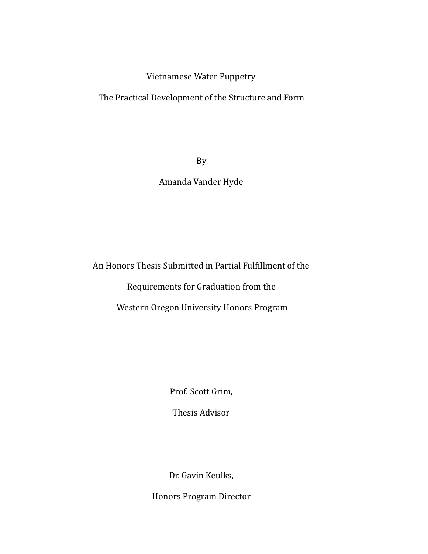### Vietnamese Water Puppetry

The Practical Development of the Structure and Form

By 

### Amanda Vander Hyde

An Honors Thesis Submitted in Partial Fulfillment of the

Requirements for Graduation from the

Western Oregon University Honors Program

Prof. Scott Grim,

Thesis Advisor 

Dr. Gavin Keulks,

Honors Program Director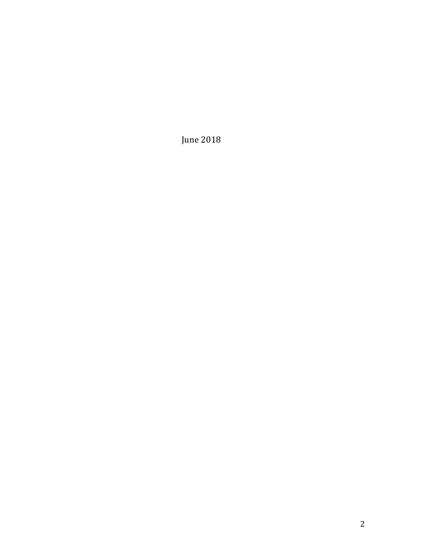June 2018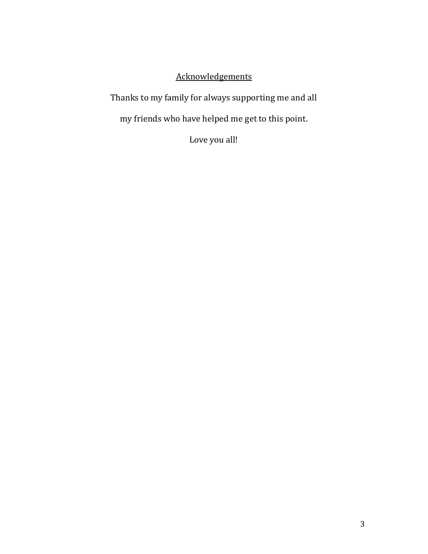# Acknowledgements

Thanks to my family for always supporting me and all

my friends who have helped me get to this point.

Love you all!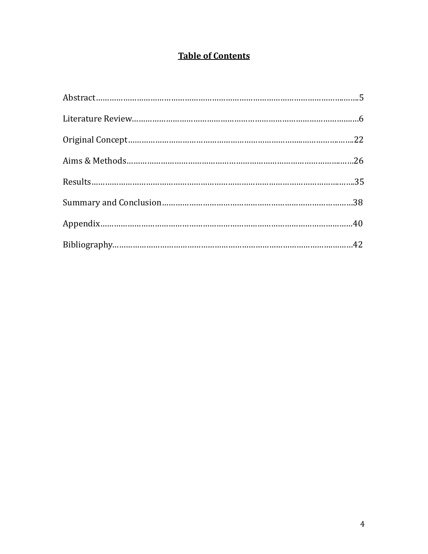# **Table of Contents**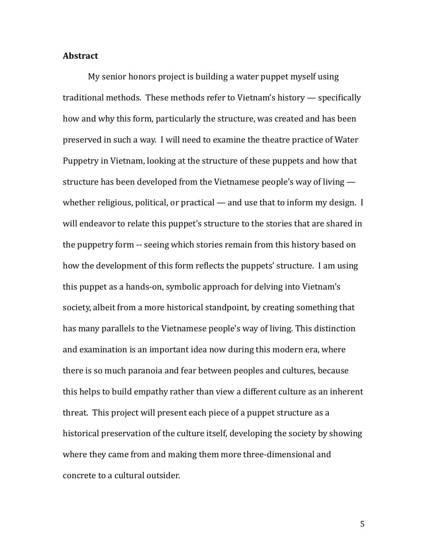#### **Abstract**

My senior honors project is building a water puppet myself using traditional methods. These methods refer to Vietnam's history  $-$  specifically how and why this form, particularly the structure, was created and has been preserved in such a way. I will need to examine the theatre practice of Water Puppetry in Vietnam, looking at the structure of these puppets and how that structure has been developed from the Vietnamese people's way of living  $$ whether religious, political, or practical — and use that to inform my design. I will endeavor to relate this puppet's structure to the stories that are shared in the puppetry form -- seeing which stories remain from this history based on how the development of this form reflects the puppets' structure. I am using this puppet as a hands-on, symbolic approach for delving into Vietnam's society, albeit from a more historical standpoint, by creating something that has many parallels to the Vietnamese people's way of living. This distinction and examination is an important idea now during this modern era, where there is so much paranoia and fear between peoples and cultures, because this helps to build empathy rather than view a different culture as an inherent threat. This project will present each piece of a puppet structure as a historical preservation of the culture itself, developing the society by showing where they came from and making them more three-dimensional and concrete to a cultural outsider.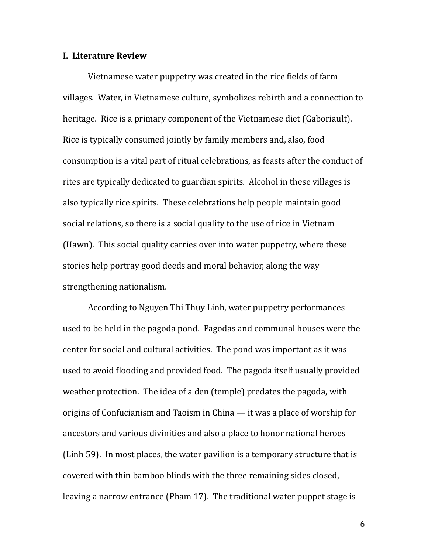#### **I. Literature Review**

Vietnamese water puppetry was created in the rice fields of farm villages. Water, in Vietnamese culture, symbolizes rebirth and a connection to heritage. Rice is a primary component of the Vietnamese diet (Gaboriault). Rice is typically consumed jointly by family members and, also, food consumption is a vital part of ritual celebrations, as feasts after the conduct of rites are typically dedicated to guardian spirits. Alcohol in these villages is also typically rice spirits. These celebrations help people maintain good social relations, so there is a social quality to the use of rice in Vietnam (Hawn). This social quality carries over into water puppetry, where these stories help portray good deeds and moral behavior, along the way strengthening nationalism.

According to Nguyen Thi Thuy Linh, water puppetry performances used to be held in the pagoda pond. Pagodas and communal houses were the center for social and cultural activities. The pond was important as it was used to avoid flooding and provided food. The pagoda itself usually provided weather protection. The idea of a den (temple) predates the pagoda, with origins of Confucianism and Taoism in China  $-$  it was a place of worship for ancestors and various divinities and also a place to honor national heroes (Linh 59). In most places, the water pavilion is a temporary structure that is covered with thin bamboo blinds with the three remaining sides closed, leaving a narrow entrance (Pham 17). The traditional water puppet stage is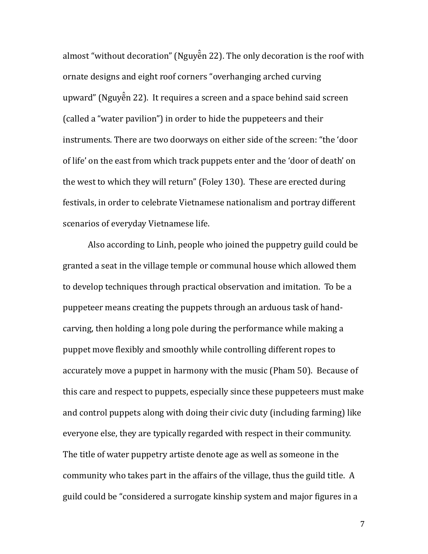almost "without decoration" (Nguyẽ n 22). The only decoration is the roof with ̂ ornate designs and eight roof corners "overhanging arched curving upward" (Nguyẽ n 22). It requires a screen and a space behind said screen ̂ (called a "water pavilion") in order to hide the puppeteers and their instruments. There are two doorways on either side of the screen: "the 'door of life' on the east from which track puppets enter and the 'door of death' on the west to which they will return" (Foley 130). These are erected during festivals, in order to celebrate Vietnamese nationalism and portray different scenarios of everyday Vietnamese life.

Also according to Linh, people who joined the puppetry guild could be granted a seat in the village temple or communal house which allowed them to develop techniques through practical observation and imitation. To be a puppeteer means creating the puppets through an arduous task of handcarving, then holding a long pole during the performance while making a puppet move flexibly and smoothly while controlling different ropes to accurately move a puppet in harmony with the music (Pham 50). Because of this care and respect to puppets, especially since these puppeteers must make and control puppets along with doing their civic duty (including farming) like everyone else, they are typically regarded with respect in their community. The title of water puppetry artiste denote age as well as someone in the community who takes part in the affairs of the village, thus the guild title. A guild could be "considered a surrogate kinship system and major figures in a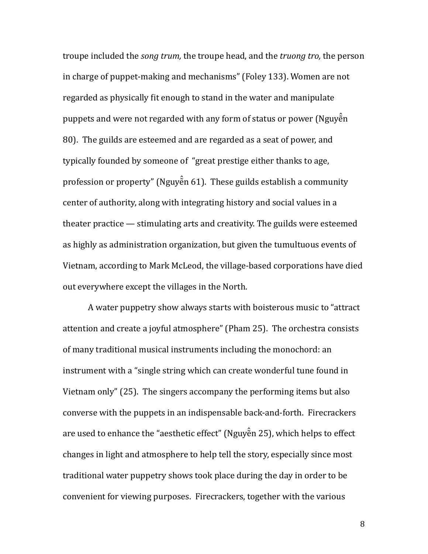troupe included the *song trum*, the troupe head, and the *truong tro*, the person in charge of puppet-making and mechanisms" (Foley 133). Women are not regarded as physically fit enough to stand in the water and manipulate puppets and were not regarded with any form of status or power (Nguyễn ̂ 80). The guilds are esteemed and are regarded as a seat of power, and typically founded by someone of "great prestige either thanks to age, profession or property" (Nguyẽ n 61). These guilds establish a community ̂ center of authority, along with integrating history and social values in a theater practice  $-$  stimulating arts and creativity. The guilds were esteemed as highly as administration organization, but given the tumultuous events of Vietnam, according to Mark McLeod, the village-based corporations have died out everywhere except the villages in the North.

A water puppetry show always starts with boisterous music to "attract" attention and create a joyful atmosphere" (Pham 25). The orchestra consists of many traditional musical instruments including the monochord: an instrument with a "single string which can create wonderful tune found in Vietnam only" (25). The singers accompany the performing items but also converse with the puppets in an indispensable back-and-forth. Firecrackers are used to enhance the "aesthetic effect" (Nguyẽ n 25), which helps to effect ̂ changes in light and atmosphere to help tell the story, especially since most traditional water puppetry shows took place during the day in order to be convenient for viewing purposes. Firecrackers, together with the various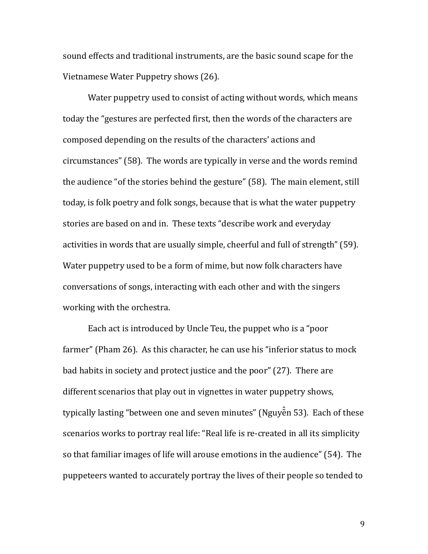sound effects and traditional instruments, are the basic sound scape for the Vietnamese Water Puppetry shows (26).

Water puppetry used to consist of acting without words, which means today the "gestures are perfected first, then the words of the characters are composed depending on the results of the characters' actions and circumstances" (58). The words are typically in verse and the words remind the audience "of the stories behind the gesture" (58). The main element, still today, is folk poetry and folk songs, because that is what the water puppetry stories are based on and in. These texts "describe work and everyday activities in words that are usually simple, cheerful and full of strength" (59). Water puppetry used to be a form of mime, but now folk characters have conversations of songs, interacting with each other and with the singers working with the orchestra.

Each act is introduced by Uncle Teu, the puppet who is a "poor" farmer" (Pham 26). As this character, he can use his "inferior status to mock bad habits in society and protect justice and the poor" (27). There are different scenarios that play out in vignettes in water puppetry shows, typically lasting "between one and seven minutes" (Nguyễn 53). Each of these ̂ scenarios works to portray real life: "Real life is re-created in all its simplicity so that familiar images of life will arouse emotions in the audience" (54). The puppeteers wanted to accurately portray the lives of their people so tended to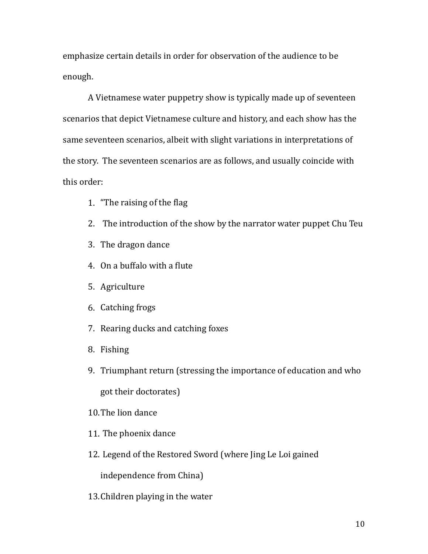emphasize certain details in order for observation of the audience to be enough. 

A Vietnamese water puppetry show is typically made up of seventeen scenarios that depict Vietnamese culture and history, and each show has the same seventeen scenarios, albeit with slight variations in interpretations of the story. The seventeen scenarios are as follows, and usually coincide with this order:

- 1. "The raising of the flag
- 2. The introduction of the show by the narrator water puppet Chu Teu
- 3. The dragon dance
- 4. On a buffalo with a flute
- 5. Agriculture
- 6. Catching frogs
- 7. Rearing ducks and catching foxes
- 8. Fishing
- 9. Triumphant return (stressing the importance of education and who got their doctorates)
- 10. The lion dance
- 11. The phoenix dance
- 12. Legend of the Restored Sword (where Jing Le Loi gained

independence from China)

13. Children playing in the water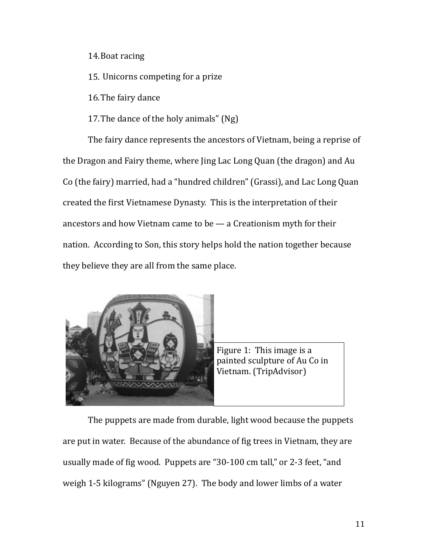14. Boat racing

15. Unicorns competing for a prize

16. The fairy dance

17. The dance of the holy animals"  $(Ng)$ 

The fairy dance represents the ancestors of Vietnam, being a reprise of the Dragon and Fairy theme, where Jing Lac Long Quan (the dragon) and Au Co (the fairy) married, had a "hundred children" (Grassi), and Lac Long Quan created the first Vietnamese Dynasty. This is the interpretation of their ancestors and how Vietnam came to be  $-$  a Creationism myth for their nation. According to Son, this story helps hold the nation together because they believe they are all from the same place.



The puppets are made from durable, light wood because the puppets are put in water. Because of the abundance of fig trees in Vietnam, they are usually made of fig wood. Puppets are "30-100 cm tall," or 2-3 feet, "and weigh 1-5 kilograms" (Nguyen 27). The body and lower limbs of a water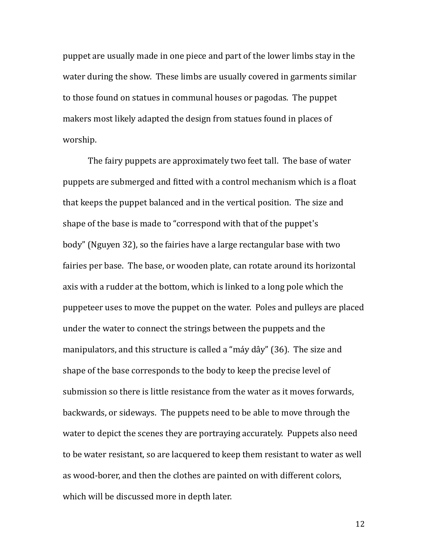puppet are usually made in one piece and part of the lower limbs stay in the water during the show. These limbs are usually covered in garments similar to those found on statues in communal houses or pagodas. The puppet makers most likely adapted the design from statues found in places of worship.

The fairy puppets are approximately two feet tall. The base of water puppets are submerged and fitted with a control mechanism which is a float that keeps the puppet balanced and in the vertical position. The size and shape of the base is made to "correspond with that of the puppet's body" (Nguyen 32), so the fairies have a large rectangular base with two fairies per base. The base, or wooden plate, can rotate around its horizontal axis with a rudder at the bottom, which is linked to a long pole which the puppeteer uses to move the puppet on the water. Poles and pulleys are placed under the water to connect the strings between the puppets and the manipulators, and this structure is called a "máy dây" (36). The size and shape of the base corresponds to the body to keep the precise level of submission so there is little resistance from the water as it moves forwards, backwards, or sideways. The puppets need to be able to move through the water to depict the scenes they are portraying accurately. Puppets also need to be water resistant, so are lacquered to keep them resistant to water as well as wood-borer, and then the clothes are painted on with different colors, which will be discussed more in depth later.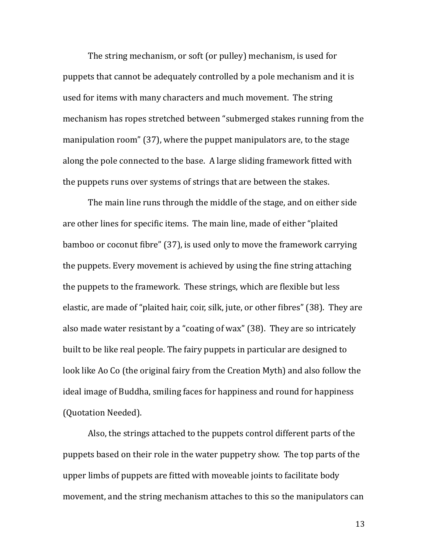The string mechanism, or soft (or pulley) mechanism, is used for puppets that cannot be adequately controlled by a pole mechanism and it is used for items with many characters and much movement. The string mechanism has ropes stretched between "submerged stakes running from the manipulation room"  $(37)$ , where the puppet manipulators are, to the stage along the pole connected to the base. A large sliding framework fitted with the puppets runs over systems of strings that are between the stakes.

The main line runs through the middle of the stage, and on either side are other lines for specific items. The main line, made of either "plaited bamboo or coconut fibre" (37), is used only to move the framework carrying the puppets. Every movement is achieved by using the fine string attaching the puppets to the framework. These strings, which are flexible but less elastic, are made of "plaited hair, coir, silk, jute, or other fibres" (38). They are also made water resistant by a "coating of wax" (38). They are so intricately built to be like real people. The fairy puppets in particular are designed to look like Ao Co (the original fairy from the Creation Myth) and also follow the ideal image of Buddha, smiling faces for happiness and round for happiness (Quotation Needed).

Also, the strings attached to the puppets control different parts of the puppets based on their role in the water puppetry show. The top parts of the upper limbs of puppets are fitted with moveable joints to facilitate body movement, and the string mechanism attaches to this so the manipulators can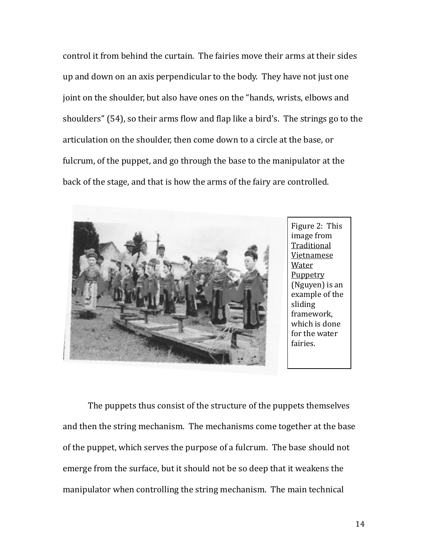control it from behind the curtain. The fairies move their arms at their sides up and down on an axis perpendicular to the body. They have not just one joint on the shoulder, but also have ones on the "hands, wrists, elbows and shoulders" (54), so their arms flow and flap like a bird's. The strings go to the articulation on the shoulder, then come down to a circle at the base, or fulcrum, of the puppet, and go through the base to the manipulator at the back of the stage, and that is how the arms of the fairy are controlled.



The puppets thus consist of the structure of the puppets themselves and then the string mechanism. The mechanisms come together at the base of the puppet, which serves the purpose of a fulcrum. The base should not emerge from the surface, but it should not be so deep that it weakens the manipulator when controlling the string mechanism. The main technical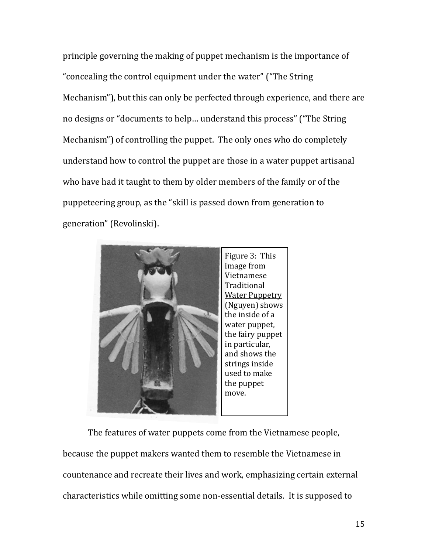principle governing the making of puppet mechanism is the importance of "concealing the control equipment under the water" ("The String" Mechanism"), but this can only be perfected through experience, and there are no designs or "documents to help... understand this process" ("The String Mechanism") of controlling the puppet. The only ones who do completely understand how to control the puppet are those in a water puppet artisanal who have had it taught to them by older members of the family or of the puppeteering group, as the "skill is passed down from generation to generation" (Revolinski).



The features of water puppets come from the Vietnamese people, because the puppet makers wanted them to resemble the Vietnamese in countenance and recreate their lives and work, emphasizing certain external characteristics while omitting some non-essential details. It is supposed to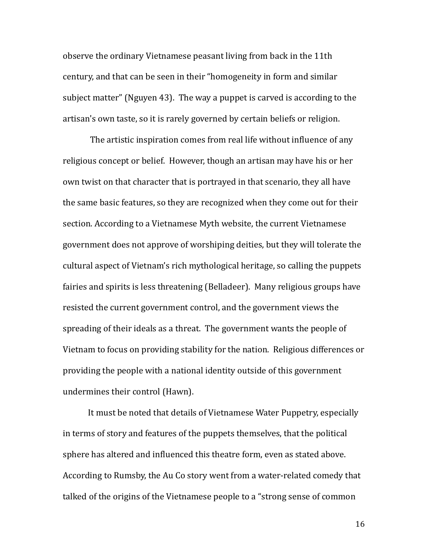observe the ordinary Vietnamese peasant living from back in the 11th century, and that can be seen in their "homogeneity in form and similar subject matter" (Nguyen 43). The way a puppet is carved is according to the artisan's own taste, so it is rarely governed by certain beliefs or religion.

The artistic inspiration comes from real life without influence of any religious concept or belief. However, though an artisan may have his or her own twist on that character that is portrayed in that scenario, they all have the same basic features, so they are recognized when they come out for their section. According to a Vietnamese Myth website, the current Vietnamese government does not approve of worshiping deities, but they will tolerate the cultural aspect of Vietnam's rich mythological heritage, so calling the puppets fairies and spirits is less threatening (Belladeer). Many religious groups have resisted the current government control, and the government views the spreading of their ideals as a threat. The government wants the people of Vietnam to focus on providing stability for the nation. Religious differences or providing the people with a national identity outside of this government undermines their control (Hawn).

It must be noted that details of Vietnamese Water Puppetry, especially in terms of story and features of the puppets themselves, that the political sphere has altered and influenced this theatre form, even as stated above. According to Rumsby, the Au Co story went from a water-related comedy that talked of the origins of the Vietnamese people to a "strong sense of common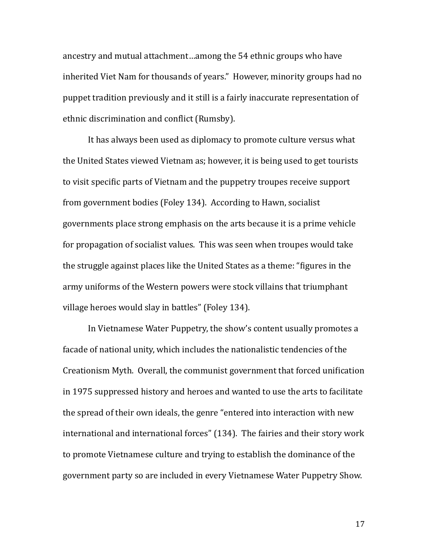ancestry and mutual attachment...among the 54 ethnic groups who have inherited Viet Nam for thousands of years." However, minority groups had no puppet tradition previously and it still is a fairly inaccurate representation of ethnic discrimination and conflict (Rumsby).

It has always been used as diplomacy to promote culture versus what the United States viewed Vietnam as; however, it is being used to get tourists to visit specific parts of Vietnam and the puppetry troupes receive support from government bodies (Foley 134). According to Hawn, socialist governments place strong emphasis on the arts because it is a prime vehicle for propagation of socialist values. This was seen when troupes would take the struggle against places like the United States as a theme: "figures in the army uniforms of the Western powers were stock villains that triumphant village heroes would slay in battles" (Foley 134).

In Vietnamese Water Puppetry, the show's content usually promotes a facade of national unity, which includes the nationalistic tendencies of the Creationism Myth. Overall, the communist government that forced unification in 1975 suppressed history and heroes and wanted to use the arts to facilitate the spread of their own ideals, the genre "entered into interaction with new international and international forces" (134). The fairies and their story work to promote Vietnamese culture and trying to establish the dominance of the government party so are included in every Vietnamese Water Puppetry Show.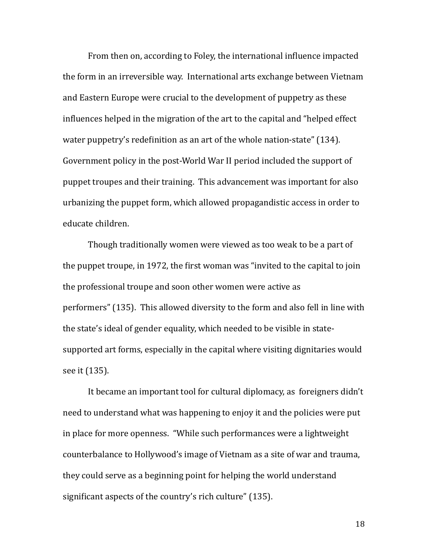From then on, according to Foley, the international influence impacted the form in an irreversible way. International arts exchange between Vietnam and Eastern Europe were crucial to the development of puppetry as these influences helped in the migration of the art to the capital and "helped effect water puppetry's redefinition as an art of the whole nation-state"  $(134)$ . Government policy in the post-World War II period included the support of puppet troupes and their training. This advancement was important for also urbanizing the puppet form, which allowed propagandistic access in order to educate children.

Though traditionally women were viewed as too weak to be a part of the puppet troupe, in 1972, the first woman was "invited to the capital to join the professional troupe and soon other women were active as performers" (135). This allowed diversity to the form and also fell in line with the state's ideal of gender equality, which needed to be visible in statesupported art forms, especially in the capital where visiting dignitaries would see it (135).

It became an important tool for cultural diplomacy, as foreigners didn't need to understand what was happening to enjoy it and the policies were put in place for more openness. "While such performances were a lightweight counterbalance to Hollywood's image of Vietnam as a site of war and trauma, they could serve as a beginning point for helping the world understand significant aspects of the country's rich culture" (135).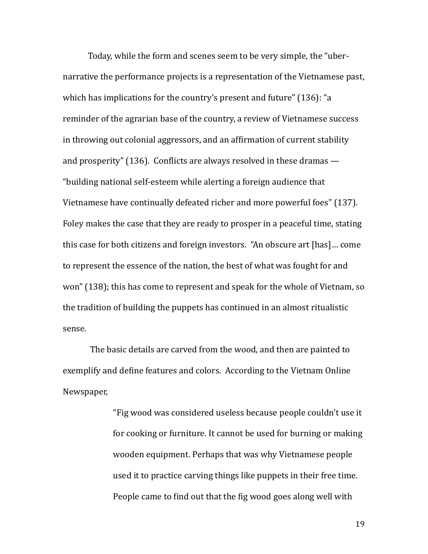Today, while the form and scenes seem to be very simple, the "ubernarrative the performance projects is a representation of the Vietnamese past, which has implications for the country's present and future"  $(136)$ : "a reminder of the agrarian base of the country, a review of Vietnamese success in throwing out colonial aggressors, and an affirmation of current stability and prosperity" (136). Conflicts are always resolved in these dramas  $-$ "building national self-esteem while alerting a foreign audience that Vietnamese have continually defeated richer and more powerful foes" (137). Foley makes the case that they are ready to prosper in a peaceful time, stating this case for both citizens and foreign investors. "An obscure art [has]... come to represent the essence of the nation, the best of what was fought for and won" (138); this has come to represent and speak for the whole of Vietnam, so the tradition of building the puppets has continued in an almost ritualistic sense. 

The basic details are carved from the wood, and then are painted to exemplify and define features and colors. According to the Vietnam Online Newspaper, 

> "Fig wood was considered useless because people couldn't use it for cooking or furniture. It cannot be used for burning or making wooden equipment. Perhaps that was why Vietnamese people used it to practice carving things like puppets in their free time. People came to find out that the fig wood goes along well with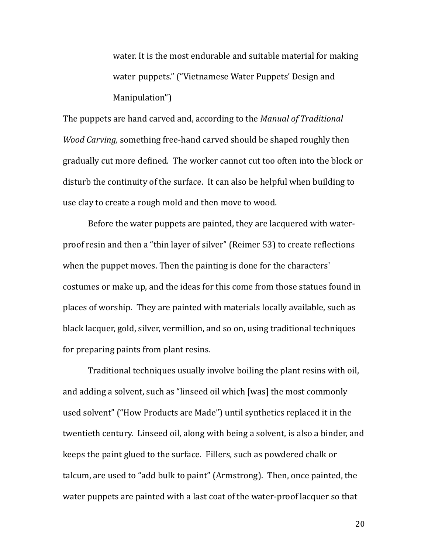water. It is the most endurable and suitable material for making water puppets." ("Vietnamese Water Puppets' Design and Manipulation") 

The puppets are hand carved and, according to the *Manual of Traditional Wood Carving,* something free-hand carved should be shaped roughly then gradually cut more defined. The worker cannot cut too often into the block or disturb the continuity of the surface. It can also be helpful when building to use clay to create a rough mold and then move to wood.

Before the water puppets are painted, they are lacquered with waterproof resin and then a "thin layer of silver" (Reimer 53) to create reflections when the puppet moves. Then the painting is done for the characters' costumes or make up, and the ideas for this come from those statues found in places of worship. They are painted with materials locally available, such as black lacquer, gold, silver, vermillion, and so on, using traditional techniques for preparing paints from plant resins.

Traditional techniques usually involve boiling the plant resins with oil, and adding a solvent, such as "linseed oil which [was] the most commonly used solvent" ("How Products are Made") until synthetics replaced it in the twentieth century. Linseed oil, along with being a solvent, is also a binder, and keeps the paint glued to the surface. Fillers, such as powdered chalk or talcum, are used to "add bulk to paint" (Armstrong). Then, once painted, the water puppets are painted with a last coat of the water-proof lacquer so that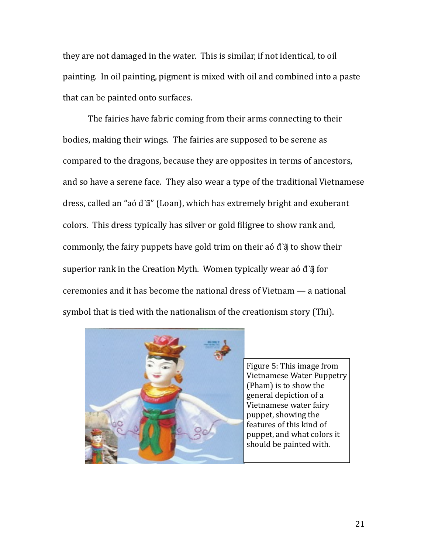they are not damaged in the water. This is similar, if not identical, to oil painting. In oil painting, pigment is mixed with oil and combined into a paste that can be painted onto surfaces.

The fairies have fabric coming from their arms connecting to their bodies, making their wings. The fairies are supposed to be serene as compared to the dragons, because they are opposites in terms of ancestors, and so have a serene face. They also wear a type of the traditional Vietnamese dress, called an "aó đầi" (Loan), which has extremely bright and exuberant colors. This dress typically has silver or gold filigree to show rank and, commonly, the fairy puppets have gold trim on their aó  $\vec{d}$  and to show their superior rank in the Creation Myth. Women typically wear aó d' $\ddot{a}$  for ceremonies and it has become the national dress of Vietnam — a national symbol that is tied with the nationalism of the creationism story (Thi).



Figure 5: This image from Vietnamese Water Puppetry (Pham) is to show the general depiction of a Vietnamese water fairy puppet, showing the features of this kind of puppet, and what colors it should be painted with.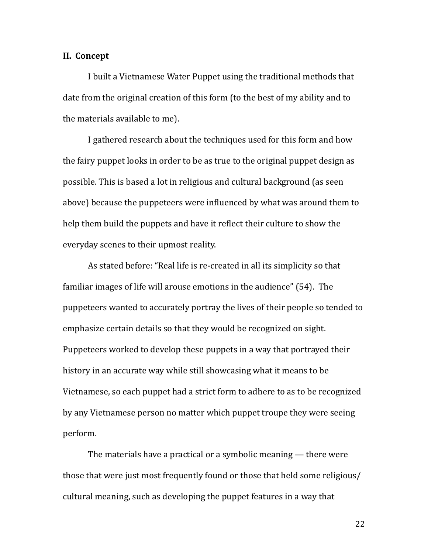#### **II.** Concept

I built a Vietnamese Water Puppet using the traditional methods that date from the original creation of this form (to the best of my ability and to the materials available to me).

I gathered research about the techniques used for this form and how the fairy puppet looks in order to be as true to the original puppet design as possible. This is based a lot in religious and cultural background (as seen above) because the puppeteers were influenced by what was around them to help them build the puppets and have it reflect their culture to show the everyday scenes to their upmost reality.

As stated before: "Real life is re-created in all its simplicity so that familiar images of life will arouse emotions in the audience" (54). The puppeteers wanted to accurately portray the lives of their people so tended to emphasize certain details so that they would be recognized on sight. Puppeteers worked to develop these puppets in a way that portrayed their history in an accurate way while still showcasing what it means to be Vietnamese, so each puppet had a strict form to adhere to as to be recognized by any Vietnamese person no matter which puppet troupe they were seeing perform. 

The materials have a practical or a symbolic meaning  $-$  there were those that were just most frequently found or those that held some religious/ cultural meaning, such as developing the puppet features in a way that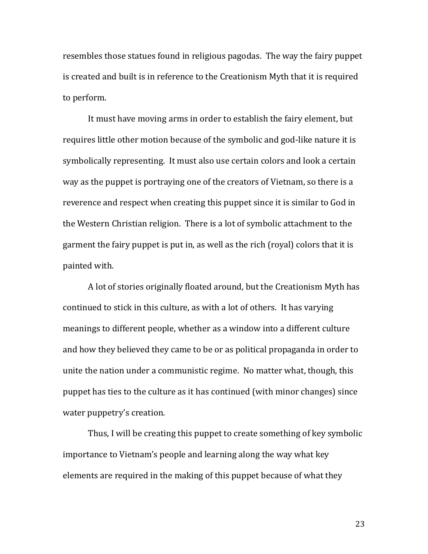resembles those statues found in religious pagodas. The way the fairy puppet is created and built is in reference to the Creationism Myth that it is required to perform.

It must have moving arms in order to establish the fairy element, but requires little other motion because of the symbolic and god-like nature it is symbolically representing. It must also use certain colors and look a certain way as the puppet is portraying one of the creators of Vietnam, so there is a reverence and respect when creating this puppet since it is similar to God in the Western Christian religion. There is a lot of symbolic attachment to the garment the fairy puppet is put in, as well as the rich (royal) colors that it is painted with.

A lot of stories originally floated around, but the Creationism Myth has continued to stick in this culture, as with a lot of others. It has varying meanings to different people, whether as a window into a different culture and how they believed they came to be or as political propaganda in order to unite the nation under a communistic regime. No matter what, though, this puppet has ties to the culture as it has continued (with minor changes) since water puppetry's creation.

Thus, I will be creating this puppet to create something of key symbolic importance to Vietnam's people and learning along the way what key elements are required in the making of this puppet because of what they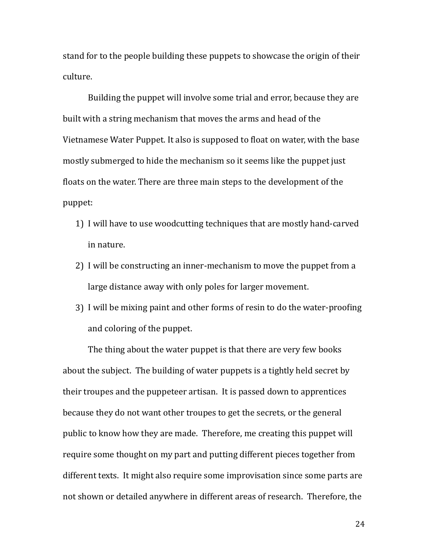stand for to the people building these puppets to showcase the origin of their culture.

Building the puppet will involve some trial and error, because they are built with a string mechanism that moves the arms and head of the Vietnamese Water Puppet. It also is supposed to float on water, with the base mostly submerged to hide the mechanism so it seems like the puppet just floats on the water. There are three main steps to the development of the puppet: 

- 1) I will have to use woodcutting techniques that are mostly hand-carved in nature.
- 2) I will be constructing an inner-mechanism to move the puppet from a large distance away with only poles for larger movement.
- 3) I will be mixing paint and other forms of resin to do the water-proofing and coloring of the puppet.

The thing about the water puppet is that there are very few books about the subject. The building of water puppets is a tightly held secret by their troupes and the puppeteer artisan. It is passed down to apprentices because they do not want other troupes to get the secrets, or the general public to know how they are made. Therefore, me creating this puppet will require some thought on my part and putting different pieces together from different texts. It might also require some improvisation since some parts are not shown or detailed anywhere in different areas of research. Therefore, the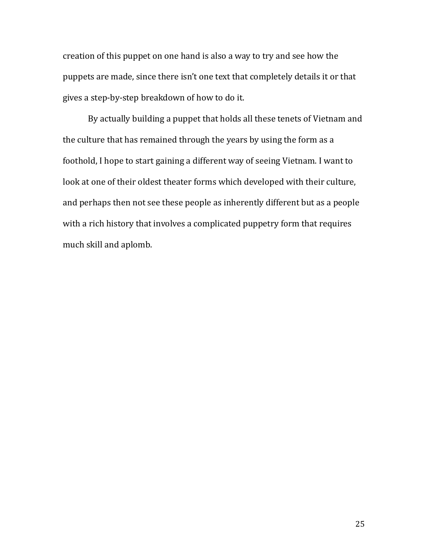creation of this puppet on one hand is also a way to try and see how the puppets are made, since there isn't one text that completely details it or that gives a step-by-step breakdown of how to do it.

By actually building a puppet that holds all these tenets of Vietnam and the culture that has remained through the years by using the form as a foothold, I hope to start gaining a different way of seeing Vietnam. I want to look at one of their oldest theater forms which developed with their culture, and perhaps then not see these people as inherently different but as a people with a rich history that involves a complicated puppetry form that requires much skill and aplomb.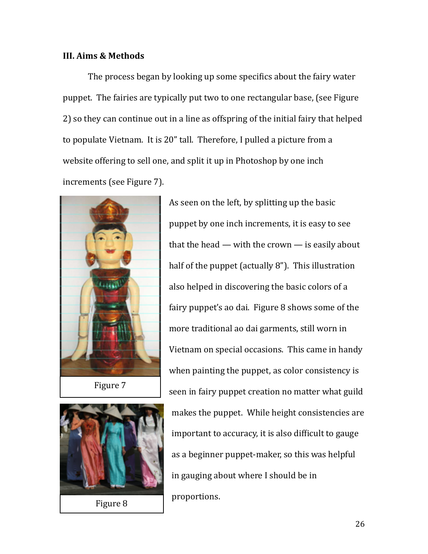#### **III. Aims & Methods**

The process began by looking up some specifics about the fairy water puppet. The fairies are typically put two to one rectangular base, (see Figure 2) so they can continue out in a line as offspring of the initial fairy that helped to populate Vietnam. It is 20" tall. Therefore, I pulled a picture from a website offering to sell one, and split it up in Photoshop by one inch increments (see Figure 7).



Figure 7



Figure 8

As seen on the left, by splitting up the basic puppet by one inch increments, it is easy to see that the head — with the crown — is easily about half of the puppet (actually  $8$ "). This illustration also helped in discovering the basic colors of a fairy puppet's ao dai. Figure 8 shows some of the more traditional ao dai garments, still worn in Vietnam on special occasions. This came in handy when painting the puppet, as color consistency is seen in fairy puppet creation no matter what guild makes the puppet. While height consistencies are important to accuracy, it is also difficult to gauge as a beginner puppet-maker, so this was helpful in gauging about where I should be in proportions.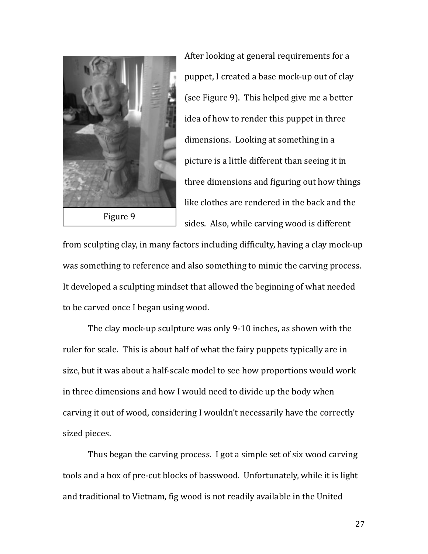

After looking at general requirements for a puppet, I created a base mock-up out of clay (see Figure 9). This helped give me a better idea of how to render this puppet in three dimensions. Looking at something in a picture is a little different than seeing it in three dimensions and figuring out how things like clothes are rendered in the back and the sides. Also, while carving wood is different

from sculpting clay, in many factors including difficulty, having a clay mock-up was something to reference and also something to mimic the carving process. It developed a sculpting mindset that allowed the beginning of what needed to be carved once I began using wood.

The clay mock-up sculpture was only 9-10 inches, as shown with the ruler for scale. This is about half of what the fairy puppets typically are in size, but it was about a half-scale model to see how proportions would work in three dimensions and how I would need to divide up the body when carving it out of wood, considering I wouldn't necessarily have the correctly sized pieces.

Thus began the carving process. I got a simple set of six wood carving tools and a box of pre-cut blocks of basswood. Unfortunately, while it is light and traditional to Vietnam, fig wood is not readily available in the United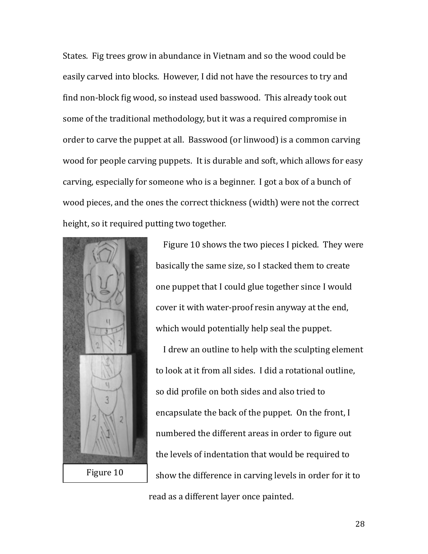States. Fig trees grow in abundance in Vietnam and so the wood could be easily carved into blocks. However, I did not have the resources to try and find non-block fig wood, so instead used basswood. This already took out some of the traditional methodology, but it was a required compromise in order to carve the puppet at all. Basswood (or linwood) is a common carving wood for people carving puppets. It is durable and soft, which allows for easy carving, especially for someone who is a beginner. I got a box of a bunch of wood pieces, and the ones the correct thickness (width) were not the correct height, so it required putting two together.



Figure 10 shows the two pieces I picked. They were basically the same size, so I stacked them to create one puppet that I could glue together since I would cover it with water-proof resin anyway at the end, which would potentially help seal the puppet.

I drew an outline to help with the sculpting element to look at it from all sides. I did a rotational outline, so did profile on both sides and also tried to encapsulate the back of the puppet. On the front,  $I$ numbered the different areas in order to figure out the levels of indentation that would be required to show the difference in carving levels in order for it to read as a different layer once painted.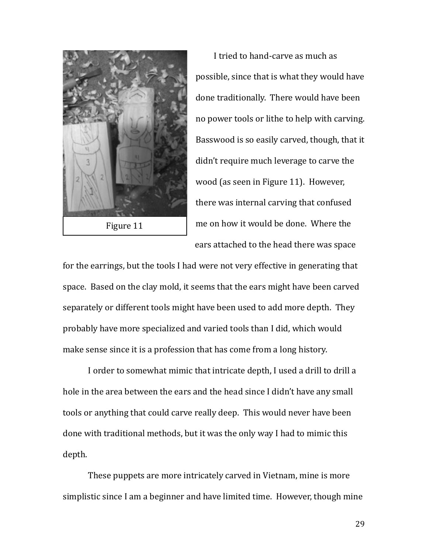

I tried to hand-carve as much as possible, since that is what they would have done traditionally. There would have been no power tools or lithe to help with carving. Basswood is so easily carved, though, that it didn't require much leverage to carve the wood (as seen in Figure 11). However, there was internal carving that confused me on how it would be done. Where the ears attached to the head there was space

for the earrings, but the tools I had were not very effective in generating that space. Based on the clay mold, it seems that the ears might have been carved separately or different tools might have been used to add more depth. They probably have more specialized and varied tools than I did, which would make sense since it is a profession that has come from a long history.

I order to somewhat mimic that intricate depth, I used a drill to drill a hole in the area between the ears and the head since I didn't have any small tools or anything that could carve really deep. This would never have been done with traditional methods, but it was the only way I had to mimic this depth. 

These puppets are more intricately carved in Vietnam, mine is more simplistic since I am a beginner and have limited time. However, though mine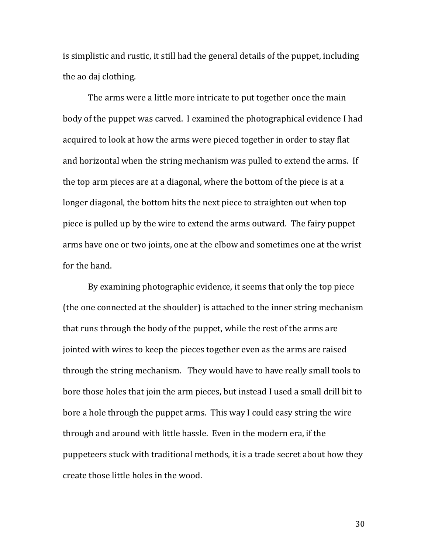is simplistic and rustic, it still had the general details of the puppet, including the ao daj clothing.

The arms were a little more intricate to put together once the main body of the puppet was carved. I examined the photographical evidence I had acquired to look at how the arms were pieced together in order to stay flat and horizontal when the string mechanism was pulled to extend the arms. If the top arm pieces are at a diagonal, where the bottom of the piece is at a longer diagonal, the bottom hits the next piece to straighten out when top piece is pulled up by the wire to extend the arms outward. The fairy puppet arms have one or two joints, one at the elbow and sometimes one at the wrist for the hand.

By examining photographic evidence, it seems that only the top piece (the one connected at the shoulder) is attached to the inner string mechanism that runs through the body of the puppet, while the rest of the arms are jointed with wires to keep the pieces together even as the arms are raised through the string mechanism. They would have to have really small tools to bore those holes that join the arm pieces, but instead I used a small drill bit to bore a hole through the puppet arms. This way I could easy string the wire through and around with little hassle. Even in the modern era, if the puppeteers stuck with traditional methods, it is a trade secret about how they create those little holes in the wood.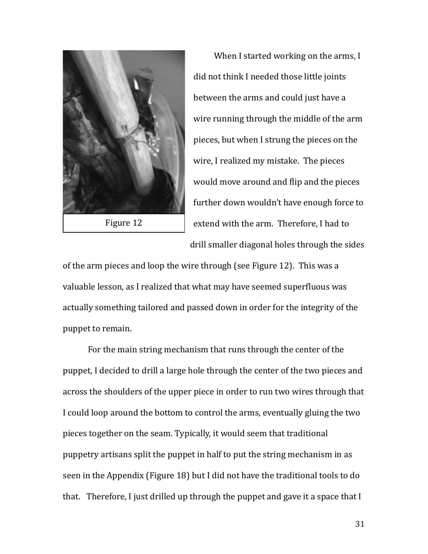

When I started working on the arms, I did not think I needed those little joints between the arms and could just have a wire running through the middle of the arm pieces, but when I strung the pieces on the wire, I realized my mistake. The pieces would move around and flip and the pieces further down wouldn't have enough force to extend with the arm. Therefore, I had to drill smaller diagonal holes through the sides

of the arm pieces and loop the wire through (see Figure 12). This was a valuable lesson, as I realized that what may have seemed superfluous was actually something tailored and passed down in order for the integrity of the puppet to remain.

For the main string mechanism that runs through the center of the puppet, I decided to drill a large hole through the center of the two pieces and across the shoulders of the upper piece in order to run two wires through that I could loop around the bottom to control the arms, eventually gluing the two pieces together on the seam. Typically, it would seem that traditional puppetry artisans split the puppet in half to put the string mechanism in as seen in the Appendix (Figure 18) but I did not have the traditional tools to do that. Therefore, I just drilled up through the puppet and gave it a space that  $I$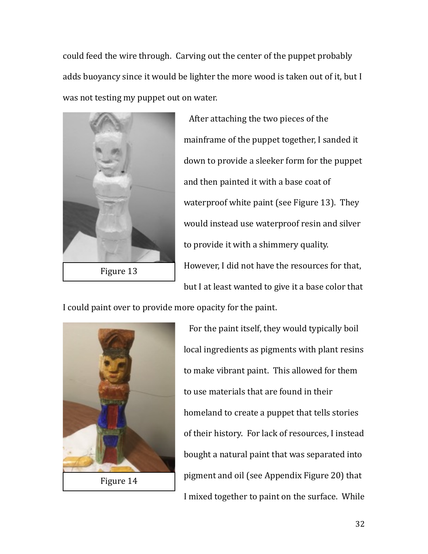could feed the wire through. Carving out the center of the puppet probably adds buoyancy since it would be lighter the more wood is taken out of it, but I was not testing my puppet out on water.



Figure 13

After attaching the two pieces of the mainframe of the puppet together, I sanded it down to provide a sleeker form for the puppet and then painted it with a base coat of waterproof white paint (see Figure 13). They would instead use waterproof resin and silver to provide it with a shimmery quality. However, I did not have the resources for that, but I at least wanted to give it a base color that

I could paint over to provide more opacity for the paint.



For the paint itself, they would typically boil local ingredients as pigments with plant resins to make vibrant paint. This allowed for them to use materials that are found in their homeland to create a puppet that tells stories of their history. For lack of resources, I instead bought a natural paint that was separated into pigment and oil (see Appendix Figure 20) that I mixed together to paint on the surface. While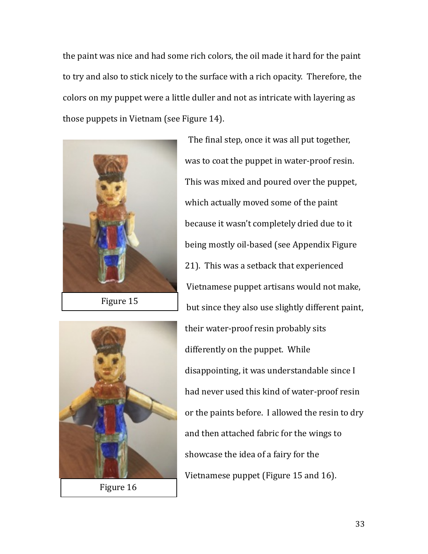the paint was nice and had some rich colors, the oil made it hard for the paint to try and also to stick nicely to the surface with a rich opacity. Therefore, the colors on my puppet were a little duller and not as intricate with layering as those puppets in Vietnam (see Figure 14).



Figure 15



Figure 16

The final step, once it was all put together, was to coat the puppet in water-proof resin. This was mixed and poured over the puppet, which actually moved some of the paint because it wasn't completely dried due to it being mostly oil-based (see Appendix Figure 21). This was a setback that experienced Vietnamese puppet artisans would not make, but since they also use slightly different paint, their water-proof resin probably sits differently on the puppet. While disappointing, it was understandable since I had never used this kind of water-proof resin or the paints before. I allowed the resin to dry and then attached fabric for the wings to showcase the idea of a fairy for the Vietnamese puppet (Figure 15 and 16).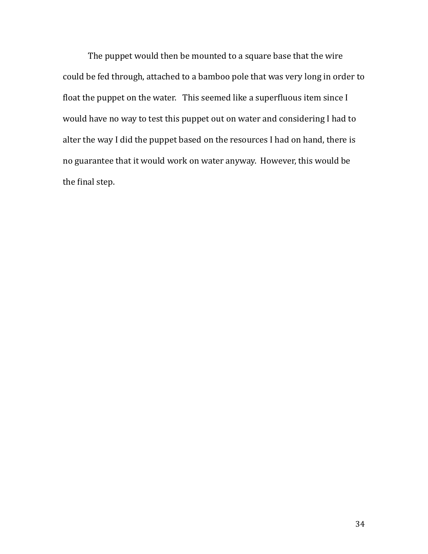The puppet would then be mounted to a square base that the wire could be fed through, attached to a bamboo pole that was very long in order to float the puppet on the water. This seemed like a superfluous item since I would have no way to test this puppet out on water and considering I had to alter the way I did the puppet based on the resources I had on hand, there is no guarantee that it would work on water anyway. However, this would be the final step.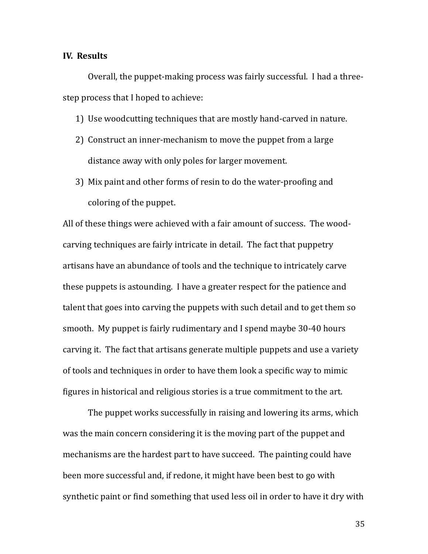#### **IV.** Results

Overall, the puppet-making process was fairly successful. I had a threestep process that I hoped to achieve:

- 1) Use woodcutting techniques that are mostly hand-carved in nature.
- 2) Construct an inner-mechanism to move the puppet from a large distance away with only poles for larger movement.
- 3) Mix paint and other forms of resin to do the water-proofing and coloring of the puppet.

All of these things were achieved with a fair amount of success. The woodcarving techniques are fairly intricate in detail. The fact that puppetry artisans have an abundance of tools and the technique to intricately carve these puppets is astounding. I have a greater respect for the patience and talent that goes into carving the puppets with such detail and to get them so smooth. My puppet is fairly rudimentary and I spend maybe 30-40 hours carving it. The fact that artisans generate multiple puppets and use a variety of tools and techniques in order to have them look a specific way to mimic figures in historical and religious stories is a true commitment to the art.

The puppet works successfully in raising and lowering its arms, which was the main concern considering it is the moving part of the puppet and mechanisms are the hardest part to have succeed. The painting could have been more successful and, if redone, it might have been best to go with synthetic paint or find something that used less oil in order to have it dry with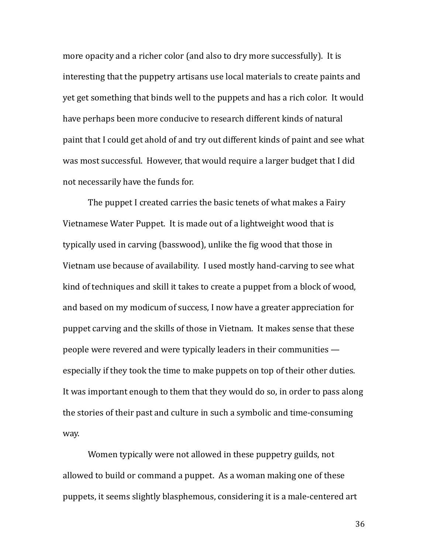more opacity and a richer color (and also to dry more successfully). It is interesting that the puppetry artisans use local materials to create paints and yet get something that binds well to the puppets and has a rich color. It would have perhaps been more conducive to research different kinds of natural paint that I could get ahold of and try out different kinds of paint and see what was most successful. However, that would require a larger budget that I did not necessarily have the funds for.

The puppet I created carries the basic tenets of what makes a Fairy Vietnamese Water Puppet. It is made out of a lightweight wood that is typically used in carving (basswood), unlike the fig wood that those in Vietnam use because of availability. I used mostly hand-carving to see what kind of techniques and skill it takes to create a puppet from a block of wood, and based on my modicum of success, I now have a greater appreciation for puppet carving and the skills of those in Vietnam. It makes sense that these people were revered and were typically leaders in their communities  $$ especially if they took the time to make puppets on top of their other duties. It was important enough to them that they would do so, in order to pass along the stories of their past and culture in such a symbolic and time-consuming way. 

Women typically were not allowed in these puppetry guilds, not allowed to build or command a puppet. As a woman making one of these puppets, it seems slightly blasphemous, considering it is a male-centered art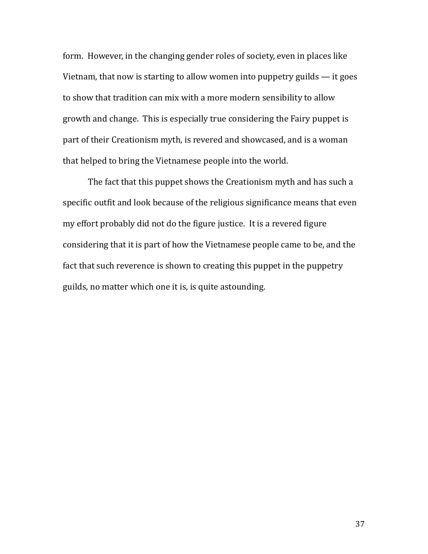form. However, in the changing gender roles of society, even in places like Vietnam, that now is starting to allow women into puppetry guilds  $-$  it goes to show that tradition can mix with a more modern sensibility to allow growth and change. This is especially true considering the Fairy puppet is part of their Creationism myth, is revered and showcased, and is a woman that helped to bring the Vietnamese people into the world.

The fact that this puppet shows the Creationism myth and has such a specific outfit and look because of the religious significance means that even my effort probably did not do the figure justice. It is a revered figure considering that it is part of how the Vietnamese people came to be, and the fact that such reverence is shown to creating this puppet in the puppetry guilds, no matter which one it is, is quite astounding.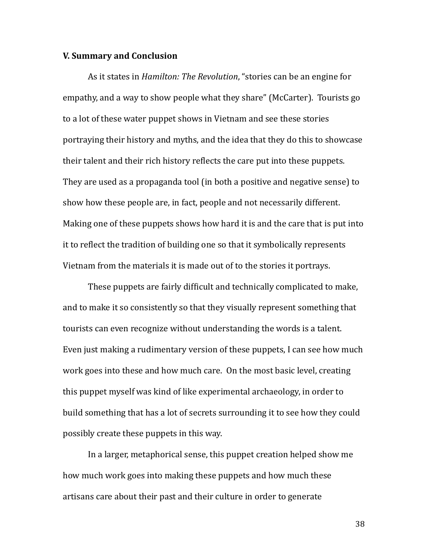#### **V. Summary and Conclusion**

As it states in *Hamilton: The Revolution*, "stories can be an engine for empathy, and a way to show people what they share" (McCarter). Tourists go to a lot of these water puppet shows in Vietnam and see these stories portraying their history and myths, and the idea that they do this to showcase their talent and their rich history reflects the care put into these puppets. They are used as a propaganda tool (in both a positive and negative sense) to show how these people are, in fact, people and not necessarily different. Making one of these puppets shows how hard it is and the care that is put into it to reflect the tradition of building one so that it symbolically represents Vietnam from the materials it is made out of to the stories it portrays.

These puppets are fairly difficult and technically complicated to make, and to make it so consistently so that they visually represent something that tourists can even recognize without understanding the words is a talent. Even just making a rudimentary version of these puppets, I can see how much work goes into these and how much care. On the most basic level, creating this puppet myself was kind of like experimental archaeology, in order to build something that has a lot of secrets surrounding it to see how they could possibly create these puppets in this way.

In a larger, metaphorical sense, this puppet creation helped show me how much work goes into making these puppets and how much these artisans care about their past and their culture in order to generate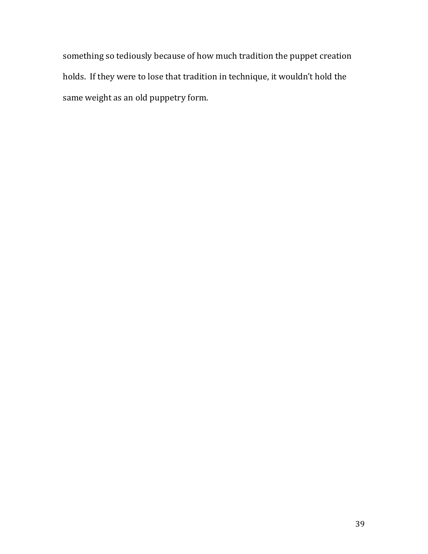something so tediously because of how much tradition the puppet creation holds. If they were to lose that tradition in technique, it wouldn't hold the same weight as an old puppetry form.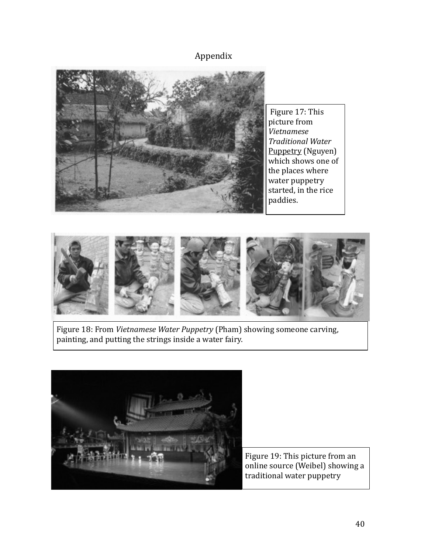## Appendix



Figure 17: This picture from <sub>.</sub><br>Vietnamese *Traditional Water*  Puppetry (Nguyen) which shows one of the places where water puppetry started, in the rice paddies.



Figure 18: From *Vietnamese Water Puppetry* (Pham) showing someone carving, painting, and putting the strings inside a water fairy.



Figure 19: This picture from an online source (Weibel) showing a traditional water puppetry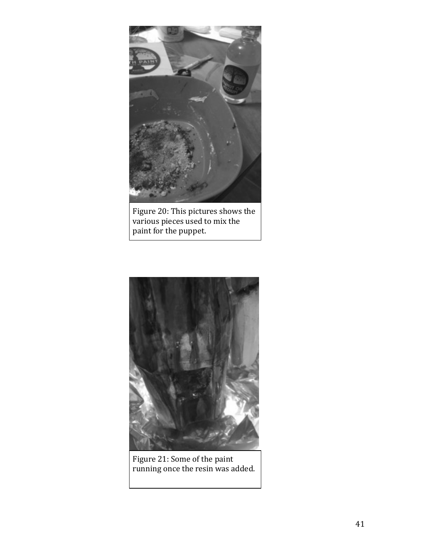

Figure 20: This pictures shows the various pieces used to mix the paint for the puppet.



Figure 21: Some of the paint running once the resin was added.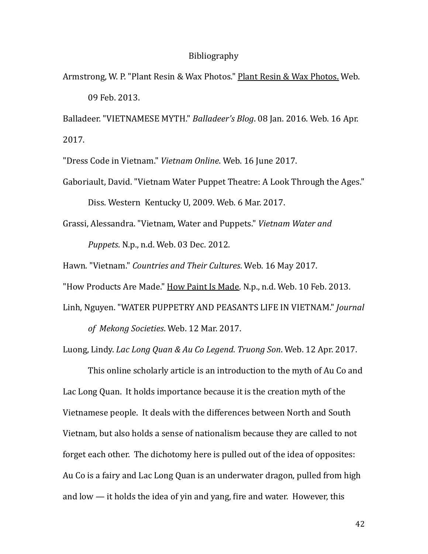#### Bibliography

Armstrong, W. P. "Plant Resin & Wax Photos." Plant Resin & Wax Photos. Web. 09 Feb. 2013. 

Balladeer. "VIETNAMESE MYTH." *Balladeer's Blog*. 08 Jan. 2016. Web. 16 Apr. 2017. 

"Dress Code in Vietnam." Vietnam Online. Web. 16 June 2017.

Gaboriault, David. "Vietnam Water Puppet Theatre: A Look Through the Ages." Diss. Western Kentucky U, 2009. Web. 6 Mar. 2017.

Grassi, Alessandra. "Vietnam, Water and Puppets." *Vietnam Water and Puppets.* N.p., n.d. Web. 03 Dec. 2012.

Hawn. "Vietnam." *Countries and Their Cultures*. Web. 16 May 2017.

"How Products Are Made." How Paint Is Made. N.p., n.d. Web. 10 Feb. 2013.

Linh, Nguyen. "WATER PUPPETRY AND PEASANTS LIFE IN VIETNAM." *Journal* 

of Mekong Societies. Web. 12 Mar. 2017.

Luong, Lindy. *Lac Long Quan & Au Co Legend. Truong Son.* Web. 12 Apr. 2017.

This online scholarly article is an introduction to the myth of Au Co and Lac Long Quan. It holds importance because it is the creation myth of the Vietnamese people. It deals with the differences between North and South Vietnam, but also holds a sense of nationalism because they are called to not forget each other. The dichotomy here is pulled out of the idea of opposites: Au Co is a fairy and Lac Long Quan is an underwater dragon, pulled from high and low  $-$  it holds the idea of yin and yang, fire and water. However, this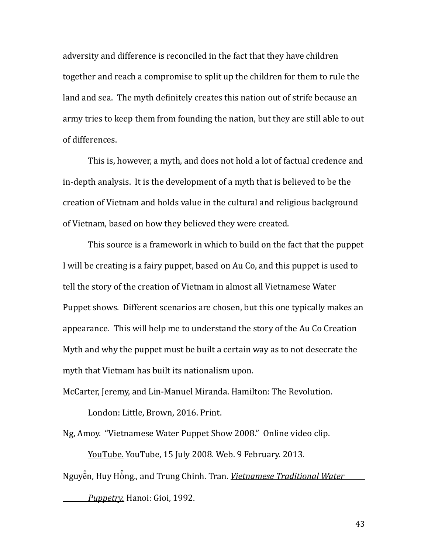adversity and difference is reconciled in the fact that they have children together and reach a compromise to split up the children for them to rule the land and sea. The myth definitely creates this nation out of strife because an army tries to keep them from founding the nation, but they are still able to out of differences.

This is, however, a myth, and does not hold a lot of factual credence and in-depth analysis. It is the development of a myth that is believed to be the creation of Vietnam and holds value in the cultural and religious background of Vietnam, based on how they believed they were created.

This source is a framework in which to build on the fact that the puppet I will be creating is a fairy puppet, based on Au Co, and this puppet is used to tell the story of the creation of Vietnam in almost all Vietnamese Water Puppet shows. Different scenarios are chosen, but this one typically makes an appearance. This will help me to understand the story of the Au Co Creation Myth and why the puppet must be built a certain way as to not desecrate the myth that Vietnam has built its nationalism upon.

McCarter, Jeremy, and Lin-Manuel Miranda. Hamilton: The Revolution.

London: Little, Brown, 2016. Print.

Ng, Amoy. "Vietnamese Water Puppet Show 2008." Online video clip.

YouTube. YouTube, 15 July 2008. Web. 9 February. 2013. Nguyễn, Huy Hồng., and Trung Chinh. Tran. *<u>Vietnamese Traditional Water </u> Puppetry.* Hanoi: Gioi, 1992.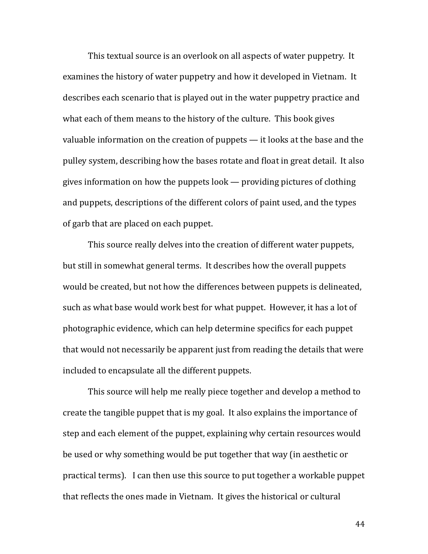This textual source is an overlook on all aspects of water puppetry. It examines the history of water puppetry and how it developed in Vietnam. It describes each scenario that is played out in the water puppetry practice and what each of them means to the history of the culture. This book gives valuable information on the creation of puppets  $-$  it looks at the base and the pulley system, describing how the bases rotate and float in great detail. It also gives information on how the puppets  $\text{look}$  — providing pictures of clothing and puppets, descriptions of the different colors of paint used, and the types of garb that are placed on each puppet.

This source really delves into the creation of different water puppets, but still in somewhat general terms. It describes how the overall puppets would be created, but not how the differences between puppets is delineated, such as what base would work best for what puppet. However, it has a lot of photographic evidence, which can help determine specifics for each puppet that would not necessarily be apparent just from reading the details that were included to encapsulate all the different puppets.

This source will help me really piece together and develop a method to create the tangible puppet that is my goal. It also explains the importance of step and each element of the puppet, explaining why certain resources would be used or why something would be put together that way (in aesthetic or practical terms). I can then use this source to put together a workable puppet that reflects the ones made in Vietnam. It gives the historical or cultural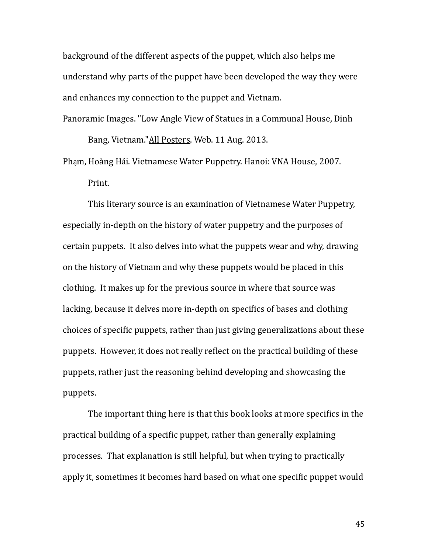background of the different aspects of the puppet, which also helps me understand why parts of the puppet have been developed the way they were and enhances my connection to the puppet and Vietnam.

Panoramic Images. "Low Angle View of Statues in a Communal House, Dinh Bang, Vietnam."All Posters. Web. 11 Aug. 2013.

Phạm, Hoàng Hải. Vietnamese Water Puppetry. Hanoi: VNA House, 2007. Print.

This literary source is an examination of Vietnamese Water Puppetry, especially in-depth on the history of water puppetry and the purposes of certain puppets. It also delves into what the puppets wear and why, drawing on the history of Vietnam and why these puppets would be placed in this clothing. It makes up for the previous source in where that source was lacking, because it delves more in-depth on specifics of bases and clothing choices of specific puppets, rather than just giving generalizations about these puppets. However, it does not really reflect on the practical building of these puppets, rather just the reasoning behind developing and showcasing the puppets. 

The important thing here is that this book looks at more specifics in the practical building of a specific puppet, rather than generally explaining processes. That explanation is still helpful, but when trying to practically apply it, sometimes it becomes hard based on what one specific puppet would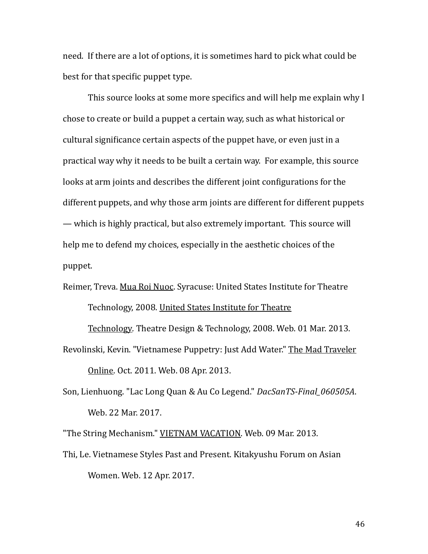need. If there are a lot of options, it is sometimes hard to pick what could be best for that specific puppet type.

This source looks at some more specifics and will help me explain why I chose to create or build a puppet a certain way, such as what historical or cultural significance certain aspects of the puppet have, or even just in a practical way why it needs to be built a certain way. For example, this source looks at arm joints and describes the different joint configurations for the different puppets, and why those arm joints are different for different puppets — which is highly practical, but also extremely important. This source will help me to defend my choices, especially in the aesthetic choices of the puppet. 

# Reimer, Treva. Mua Roi Nuoc. Syracuse: United States Institute for Theatre Technology, 2008. United States Institute for Theatre

Technology. Theatre Design & Technology, 2008. Web. 01 Mar. 2013.

Revolinski, Kevin. "Vietnamese Puppetry: Just Add Water." The Mad Traveler Online. Oct. 2011. Web. 08 Apr. 2013.

Son, Lienhuong. "Lac Long Quan & Au Co Legend." *DacSanTS-Final\_060505A*. Web. 22 Mar. 2017.

"The String Mechanism." VIETNAM VACATION. Web. 09 Mar. 2013.

Thi, Le. Vietnamese Styles Past and Present. Kitakyushu Forum on Asian Women. Web. 12 Apr. 2017.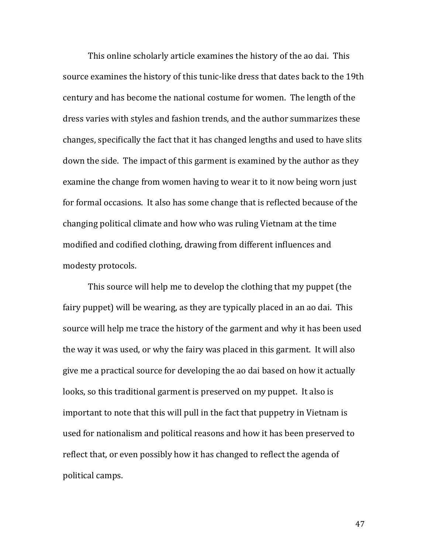This online scholarly article examines the history of the ao dai. This source examines the history of this tunic-like dress that dates back to the 19th century and has become the national costume for women. The length of the dress varies with styles and fashion trends, and the author summarizes these changes, specifically the fact that it has changed lengths and used to have slits down the side. The impact of this garment is examined by the author as they examine the change from women having to wear it to it now being worn just for formal occasions. It also has some change that is reflected because of the changing political climate and how who was ruling Vietnam at the time modified and codified clothing, drawing from different influences and modesty protocols.

This source will help me to develop the clothing that my puppet (the fairy puppet) will be wearing, as they are typically placed in an ao dai. This source will help me trace the history of the garment and why it has been used the way it was used, or why the fairy was placed in this garment. It will also give me a practical source for developing the ao dai based on how it actually looks, so this traditional garment is preserved on my puppet. It also is important to note that this will pull in the fact that puppetry in Vietnam is used for nationalism and political reasons and how it has been preserved to reflect that, or even possibly how it has changed to reflect the agenda of political camps.